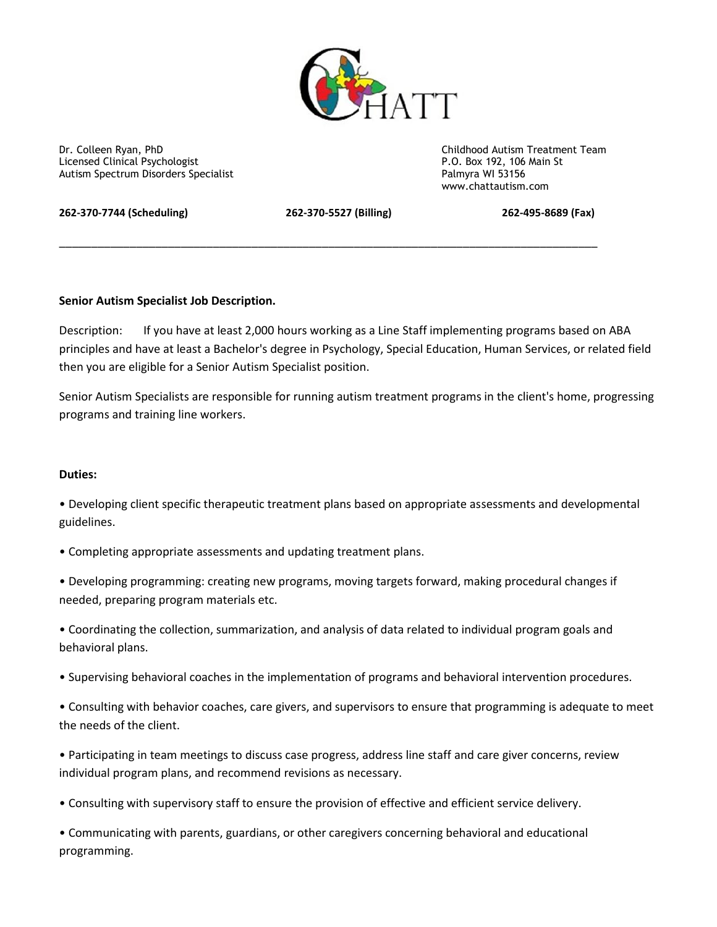

Dr. Colleen Ryan, PhD<br>
Licensed Clinical Psychologist<br>
Licensed Clinical Psychologist<br>
Childhood Autism Treatment Team Licensed Clinical Psychologist **P.O. Box 192, 106**<br>
Autism Spectrum Disorders Specialist Palmyra WI 53156 Autism Spectrum Disorders Specialist

www.chattautism.com

**262-370-7744 (Scheduling) 262-370-5527 (Billing) 262-495-8689 (Fax)**

\_\_\_\_\_\_\_\_\_\_\_\_\_\_\_\_\_\_\_\_\_\_\_\_\_\_\_\_\_\_\_\_\_\_\_\_\_\_\_\_\_\_\_\_\_\_\_\_\_\_\_\_\_\_\_\_\_\_\_\_\_\_\_\_\_\_\_\_\_\_\_\_\_\_\_\_\_\_\_\_\_\_\_\_

# **Senior Autism Specialist Job Description.**

Description: If you have at least 2,000 hours working as a Line Staff implementing programs based on ABA principles and have at least a Bachelor's degree in Psychology, Special Education, Human Services, or related field then you are eligible for a Senior Autism Specialist position.

Senior Autism Specialists are responsible for running autism treatment programs in the client's home, progressing programs and training line workers.

### **Duties:**

• Developing client specific therapeutic treatment plans based on appropriate assessments and developmental guidelines.

• Completing appropriate assessments and updating treatment plans.

• Developing programming: creating new programs, moving targets forward, making procedural changes if needed, preparing program materials etc.

• Coordinating the collection, summarization, and analysis of data related to individual program goals and behavioral plans.

• Supervising behavioral coaches in the implementation of programs and behavioral intervention procedures.

• Consulting with behavior coaches, care givers, and supervisors to ensure that programming is adequate to meet the needs of the client.

• Participating in team meetings to discuss case progress, address line staff and care giver concerns, review individual program plans, and recommend revisions as necessary.

• Consulting with supervisory staff to ensure the provision of effective and efficient service delivery.

• Communicating with parents, guardians, or other caregivers concerning behavioral and educational programming.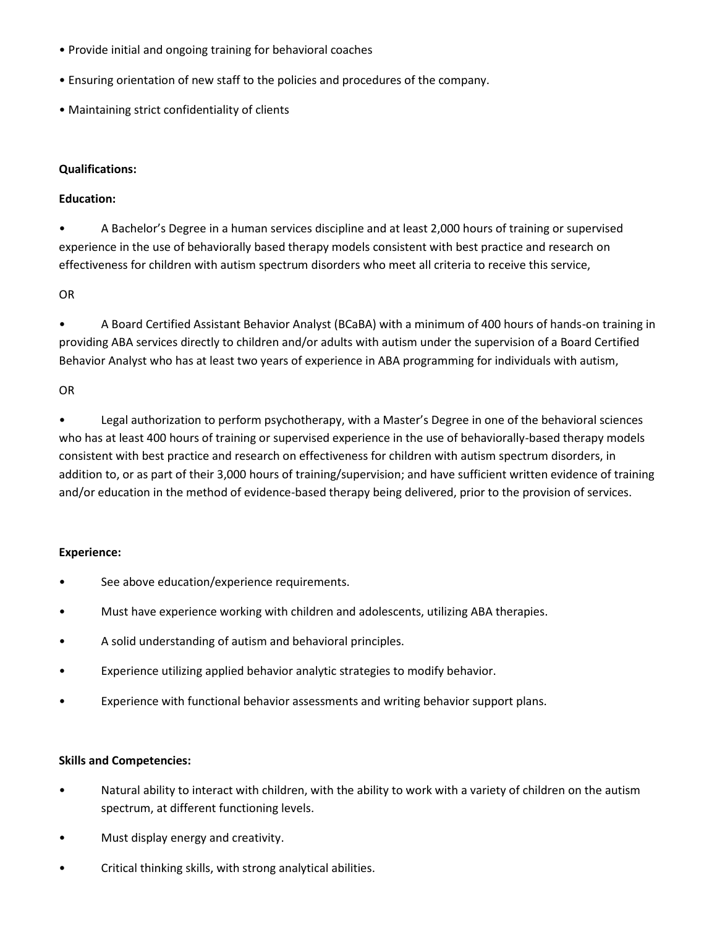- Provide initial and ongoing training for behavioral coaches
- Ensuring orientation of new staff to the policies and procedures of the company.
- Maintaining strict confidentiality of clients

## **Qualifications:**

## **Education:**

• A Bachelor's Degree in a human services discipline and at least 2,000 hours of training or supervised experience in the use of behaviorally based therapy models consistent with best practice and research on effectiveness for children with autism spectrum disorders who meet all criteria to receive this service,

OR

• A Board Certified Assistant Behavior Analyst (BCaBA) with a minimum of 400 hours of hands-on training in providing ABA services directly to children and/or adults with autism under the supervision of a Board Certified Behavior Analyst who has at least two years of experience in ABA programming for individuals with autism,

OR

• Legal authorization to perform psychotherapy, with a Master's Degree in one of the behavioral sciences who has at least 400 hours of training or supervised experience in the use of behaviorally-based therapy models consistent with best practice and research on effectiveness for children with autism spectrum disorders, in addition to, or as part of their 3,000 hours of training/supervision; and have sufficient written evidence of training and/or education in the method of evidence-based therapy being delivered, prior to the provision of services.

### **Experience:**

- See above education/experience requirements.
- Must have experience working with children and adolescents, utilizing ABA therapies.
- A solid understanding of autism and behavioral principles.
- Experience utilizing applied behavior analytic strategies to modify behavior.
- Experience with functional behavior assessments and writing behavior support plans.

# **Skills and Competencies:**

- Natural ability to interact with children, with the ability to work with a variety of children on the autism spectrum, at different functioning levels.
- Must display energy and creativity.
- Critical thinking skills, with strong analytical abilities.